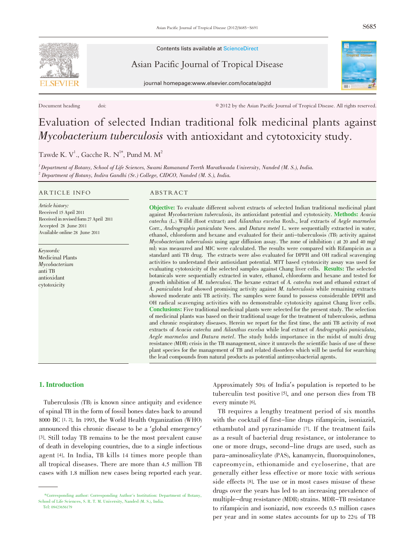

Contents lists available at ScienceDirect

Asian Pacific Journal of Tropical Disease





Document heading doi: doi:  $@{2012}$  by the Asian Pacific Journal of Tropical Disease. All rights reserved.

# Evaluation of selected Indian traditional folk medicinal plants against Mycobacterium tuberculosis with antioxidant and cytotoxicity study.

Tawde K. V<sup>1</sup>., Gacche R. N<sup>1\*</sup>, Pund M. M<sup>2</sup>

 $1$ Department of Botany, School of Life Sciences, Swami Ramanand Teerth Marathwada University, Nanded (M. S.), India. <sup>2</sup> Department of Botany, Indira Gandhi (Sr.) College, CIDCO, Nanded (M. S.), India.

#### ARTICLE INFO ABSTRACT

Article history: Received 15 April 2011 Received in revised form 27 April 2011 Accepted 28 June 2011 Available online 28 June 2011

Keywords: Medicinal Plants Mycobacterium anti TB antioxidant cytotoxicity

Objective: To evaluate different solvent extracts of selected Indian traditional medicinal plant against Mycobacterium tuberculosis, its antioxidant potential and cytotoxicity. Methods: Acacia catechu (L.) Willd (Root extract) and Ailanthus excelsa Roxb., leaf extracts of Aegle marmelos Corr., Andrographis paniculata Nees. and Datura metel L. were sequentially extracted in water, ethanol, chloroform and hexane and evaluated for their anti-tuberculosis (TB) activity against Mycobacterium tuberculosis using agar diffusion assay. The zone of inhibition ( at <sup>20</sup> and <sup>40</sup> mg/ ml) was measured and MIC were calculated. The results were compared with Rifampicin as a standard anti TB drug. The extracts were also evaluated for DPPH and OH radical scavenging activities to understand their antioxidant potential. MTT based cytotoxicity assay was used for evaluating cytotoxicity of the selected samples against Chang liver cells. Results: The selected botanicals were sequentially extracted in water, ethanol, chloroform and hexane and tested for growth inhibition of M. tuberculosi. The hexane extract of A. catechu root and ethanol extract of A. paniculata leaf showed promising activity against M. tuberculosis while remaining extracts showed moderate anti TB activity. The samples were found to possess considerable DPPH and OH radical scavenging activities with no demonstrable cytotoxicity against Chang liver cells. Conclusions: Five traditional medicinal plants were selected for the present study. The selection of medicinal plants was based on their traditional usage for the treatment of tuberculosis, asthma and chronic respiratory diseases. Herein we report for the first time, the anti TB activity of root extracts of Acacia catechu and Ailanthus excelsa while leaf extract of Andrographis paniculata, Aegle marmelos and Datura metel. The study holds importance in the midst of multi drug resistance (MDR) crisis in the TB management, since it unravels the scientific basis of use of these plant species for the management of TB and related disorders which will be useful for searching the lead compounds from natural products as potential antimycobacterial agents.

### 1. Introduction

Tuberculosis (TB) is known since antiquity and evidence of spinal TB in the form of fossil bones dates back to around 8000 BC [1, 2]. In 1993, the World Health Organization (WHO) announced this chronic disease to be a 'global emergency' [3]. Still today TB remains to be the most prevalent cause of death in developing countries, due to a single infectious agent [4]. In India, TB kills 14 times more people than all tropical diseases. There are more than 4.5 million TB cases with 1.8 million new cases being reported each year. Approximately 50% of India's population is reported to be tuberculin test positive [5], and one person dies from TB every minute [6].

TB requires a lengthy treatment period of six months with the cocktail of first-line drugs rifampicin, isoniazid, ethambutol and pyrazinamide [7]. If the treatment fails as a result of bacterial drug resistance, or intolerance to one or more drugs, second-line drugs are used, such as para-aminosalicylate (PAS), kanamycin, fluoroquinolones, capreomycin, ethionamide and cycloserine, that are generally either less effective or more toxic with serious side effects [8]. The use or in most cases misuse of these drugs over the years has led to an increasing prevalence of multiple-drug resistance (MDR) strains. MDR-TB resistance to rifampicin and isoniazid, now exceeds 0.5 million cases per year and in some states accounts for up to 22% of TB

<sup>\*</sup>Corresponding author: Corresponding Author's Institution: Department of Botany, School of Life Sciences, S. R. T. M. University, Nanded (M. S.), India.

Tel: 09423656179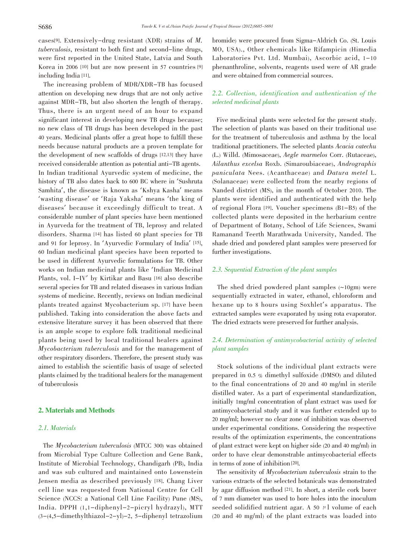cases[9]. Extensively-drug resistant (XDR) strains of M. tuberculosis, resistant to both first and second-line drugs, were first reported in the United State, Latvia and South Korea in 2006 [10] but are now present in 57 countries [9] including India [11].

The increasing problem of MDR/XDR-TB has focused attention on developing new drugs that are not only active against MDR-TB, but also shorten the length of therapy. Thus, there is an urgent need of an hour to expand significant interest in developing new TB drugs because; no new class of TB drugs has been developed in the past 40 years. Medicinal plants offer a great hope to fulfill these needs because natural products are a proven template for the development of new scaffolds of drugs [12,13] they have received considerable attention as potential anti-TB agents. In Indian traditional Ayurvedic system of medicine, the history of TB also dates back to <sup>600</sup> BC where in 'Sushruta Samhita', the disease is known as 'Kshya Kasha' means 'wasting disease' or 'Raja Yaksha' means 'the king of diseases' because it exceedingly difficult to treat. A considerable number of plant species have been mentioned in Ayurveda for the treatment of TB, leprosy and related disorders. Sharma [14] has listed 60 plant species for TB and <sup>91</sup> for leprosy. In 'Ayurvedic Formulary of India' [15], 60 Indian medicinal plant species have been reported to be used in different Ayurvedic formulations for TB. Other works on Indian medicinal plants like 'Indian Medicinal Plants, vol. I-IV' by Kirtikar and Basu [16] also describe several species for TB and related diseases in various Indian systems of medicine. Recently, reviews on Indian medicinal plants treated against Mycobacterium sp. [17] have been published. Taking into consideration the above facts and extensive literature survey it has been observed that there is an ample scope to explore folk traditional medicinal plants being used by local traditional healers against Mycobacterium tuberculosis and for the management of other respiratory disorders. Therefore, the present study was aimed to establish the scientific basis of usage of selected plants claimed by the traditional healers for the management of tuberculosis

#### 2. Materials and Methods

# 2.1. Materials

The Mycobacterium tuberculosis (MTCC 300) was obtained from Microbial Type Culture Collection and Gene Bank, Institute of Microbial Technology, Chandigarh (PB), India and was sub cultured and maintained onto Lowenstein Jensen media as described previously [18]. Chang Liver cell line was requested from National Centre for Cell Science (NCCS: a National Cell Line Facility) Pune (MS), India. DPPH (1,1-diphenyl-2-picryl hydrazyl), MTT (3-(4,5-dimethylthiazol-2-yl)-2, 5-diphenyl tetrazolium

bromide) were procured from Sigma-Aldrich Co. (St. Louis MO, USA)., Other chemicals like Rifampicin (Himedia Laboratories Pvt. Ltd. Mumbai), Ascorbic acid, 1-10 phenanthroline, solvents, reagents used were of AR grade and were obtained from commercial sources.

# 2.2. Collection, identification and authentication of the selected medicinal plants

Five medicinal plants were selected for the present study. The selection of plants was based on their traditional use for the treatment of tuberculosis and asthma by the local traditional practitioners. The selected plants Acacia catechu (L.) Willd. (Mimosaceae), Aegle marmelos Corr. (Rutaceae), Ailanthus excelsa Roxb. (Simaroubiaceae), Andrographis paniculata Nees. (Acanthaceae) and Datura metel L. (Solanaceae) were collected from the nearby regions of Nanded district (MS), in the month of October 2010. The plants were identified and authenticated with the help of regional Flora [19]. Voucher specimens (B1-B5) of the collected plants were deposited in the herbarium centre of Department of Botany, School of Life Sciences, Swami Ramanand Teerth Marathwada University, Nanded. The shade dried and powdered plant samples were preserved for further investigations.

#### 2.3. Sequential Extraction of the plant samples

The shed dried powdered plant samples (~10gm) were sequentially extracted in water, ethanol, chloroform and hexane up to <sup>8</sup> hours using Soxhlet's apparatus. The extracted samples were evaporated by using rota evaporator. The dried extracts were preserved for further analysis.

# 2.4. Determination of antimycobacterial activity of selected plant samples

Stock solutions of the individual plant extracts were prepared in 0.5 % dimethyl sulfoxide (DMSO) and diluted to the final concentrations of 20 and 40 mg/ml in sterile distilled water. As a part of experimental standardization, initially 1mg/ml concentration of plant extract was used for antimycobacterial study and it was further extended up to 20 mg/ml; however no clear zone of inhibition was observed under experimental conditions. Considering the respective results of the optimization experiments, the concentrations of plant extract were kept on higher side (20 and 40 mg/ml) in order to have clear demonstrable antimycobacterial effects in terms of zone of inhibition [20].

The sensitivity of Mycobacterium tuberculosis strain to the various extracts of the selected botanicals was demonstrated by agar diffusion method [21]. In short, a sterile cork borer of 7 mm diameter was used to bore holes into the inoculum seeded solidified nutrient agar. A 50  $\mu$ l volume of each (20 and 40 mg/ml) of the plant extracts was loaded into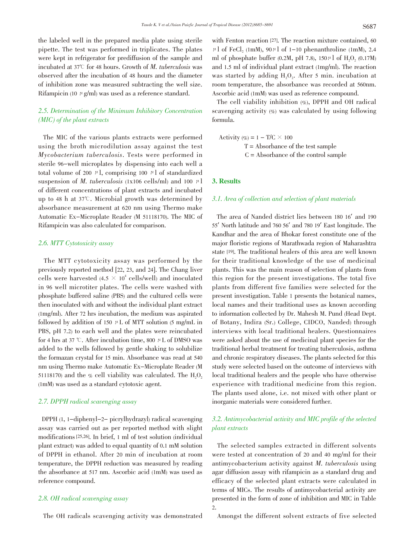the labeled well in the prepared media plate using sterile pipette. The test was performed in triplicates. The plates were kept in refrigerator for prediffusion of the sample and incubated at 37 $\degree$  for 48 hours. Growth of *M. tuberculosis* was observed after the incubation of 48 hours and the diameter of inhibition zone was measured subtracting the well size. Rifampicin (10  $\mu$  g/ml) was used as a reference standard.

# 2.5. Determination of the Minimum Inhibitory Concentration (MIC) of the plant extracts

The MIC of the various plants extracts were performed using the broth microdilution assay against the test Mycobacterium tuberculosis. Tests were performed in sterile 96-well microplates by dispensing into each well a total volume of 200  $\mu$ l, comprising 100  $\mu$ l of standardized suspension of *M. tuberculosis* (1x106 cells/ml) and 100  $\mu$ 1 of different concentrations of plant extracts and incubated up to 48 h at  $37^{\circ}$ . Microbial growth was determined by absorbance measurement at 620 nm using Thermo make Automatic Ex-Microplate Reader (M 51118170). The MIC of Rifampicin was also calculated for comparison.

#### 2.6. MTT Cytotoxicity assay

The MTT cytotoxicity assay was performed by the previously reported method [22, 23, and 24]. The Chang liver cells were harvested  $(4.5 \times 10^4 \text{ cells/well})$  and inoculated in 96 well microtiter plates. The cells were washed with phosphate buffered saline (PBS) and the cultured cells were then inoculated with and without the individual plant extract (1mg/ml). After 72 hrs incubation, the medium was aspirated followed by addition of 150  $\mu$  L of MTT solution (5 mg/mL in PBS, pH 7.2) to each well and the plates were reincubated for 4 hrs at 37 °C. After incubation time, 800  $\mu$  L of DMSO was added to the wells followed by gentle shaking to solubilize the formazan crystal for 15 min. Absorbance was read at 540 nm using Thermo make Automatic Ex-Microplate Reader (M 51118170) and the % cell viability was calculated. The  $H_2O_2$ (1mM) was used as a standard cytotoxic agent.

#### 2.7. DPPH radical scavenging assay

DPPH (1, 1-diphenyl-2- picrylhydrazyl) radical scavenging assay was carried out as per reported method with slight modifications [25,26]. In brief, 1 ml of test solution (individual plant extract) was added to equal quantity of 0.1 mM solution of DPPH in ethanol. After 20 min of incubation at room temperature, the DPPH reduction was measured by reading the absorbance at 517 nm. Ascorbic acid (1mM) was used as reference compound.

### 2.8. OH radical scavenging assay

The OH radicals scavenging activity was demonstrated

with Fenton reaction [27]. The reaction mixture contained, 60  $\mu$ l of FeCl, (1mM), 90 $\mu$ l of 1-10 phenanthroline (1mM), 2.4 ml of phosphate buffer (0.2M, pH 7.8),  $150 \mu$ l of H<sub>2</sub>O<sub>2</sub> (0.17M) and 1.5 ml of individual plant extract (1mg/ml). The reaction was started by adding  $H_2O_2$ . After 5 min. incubation at room temperature, the absorbance was recorded at 560nm. Ascorbic acid (1mM) was used as reference compound.

The cell viability inhibition (%), DPPH and OH radical scavenging activity  $(\%)$  was calculated by using following formula.

Activity  $(\%)=1-\text{T/C}\times 100$ T = Absorbance of the test sample  $C =$  Absorbance of the control sample

### 3. Results

#### 3.1. Area of collection and selection of plant materials

The area of Nanded district lies between <sup>180</sup> <sup>16</sup>' and <sup>190</sup> <sup>55</sup>' North latitude and <sup>760</sup> <sup>56</sup>' and <sup>780</sup> <sup>19</sup>' East longitude. The Kandhar and the area of Bhokar forest constitute one of the major floristic regions of Marathwada region of Maharashtra state [19]. The traditional healers of this area are well known for their traditional knowledge of the use of medicinal plants. This was the main reason of selection of plants from this region for the present investigations. The total five plants from different five families were selected for the present investigation. Table 1 presents the botanical names, local names and their traditional uses as known according to information collected by Dr. Mahesh M. Pund (Head Dept. of Botany, Indira (Sr.) College, CIDCO, Nanded) through interviews with local traditional healers. Questionnaires were asked about the use of medicinal plant species for the traditional herbal treatment for treating tuberculosis, asthma and chronic respiratory diseases. The plants selected for this study were selected based on the outcome of interviews with local traditional healers and the people who have otherwise experience with traditional medicine from this region. The plants used alone, i.e. not mixed with other plant or inorganic materials were considered further.

# 3.2. Antimycobacterial activity and MIC profile of the selected plant extracts

The selected samples extracted in different solvents were tested at concentration of 20 and 40 mg/ml for their antimycobacterium activity against M. tuberculosis using agar diffusion assay with rifampicin as a standard drug and efficacy of the selected plant extracts were calculated in terms of MICs. The results of antimycobacterial activity are presented in the form of zone of inhibition and MIC in Table 2.

Amongst the different solvent extracts of five selected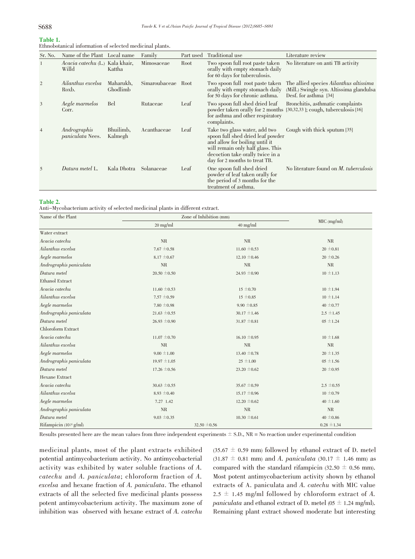# Table 1.

| Ethnobotanical information of selected medicinal plants. |  |
|----------------------------------------------------------|--|
|----------------------------------------------------------|--|

| Sr. No.        | Name of the Plant Local name             |                       | Family        | Part used | Traditional use                                                                                                                                                                                                | Literature review                                                                                           |
|----------------|------------------------------------------|-----------------------|---------------|-----------|----------------------------------------------------------------------------------------------------------------------------------------------------------------------------------------------------------------|-------------------------------------------------------------------------------------------------------------|
| 1              | Acacia catechu (L.) Kala khair,<br>Willd | Kattha                | Mimosaceae    | Root      | Two spoon full root paste taken<br>orally with empty stomach daily<br>for 60 days for tuberculosis.                                                                                                            | No literature on anti TB activity                                                                           |
| 2              | Ailanthus excelsa<br>Roxb.               | Maharukh,<br>Ghodlimb | Simaroubaceae | Root      | Two spoon full root paste taken<br>orally with empty stomach daily<br>for 50 days for chronic asthma.                                                                                                          | The allied species Ailanthus altissima<br>(Mill.) Swingle syn. Altissima glandulsa<br>Desf. for asthma [34] |
| 3              | Aegle marmelos<br>Corr.                  | Bel                   | Rutaceae      | Leaf      | Two spoon full shed dried leaf<br>for asthma and other respiratory<br>complaints.                                                                                                                              | Bronchitis, asthmatic complaints<br>powder taken orally for 2 months [30,32,33]; cough, tuberculosis [16]   |
| $\overline{4}$ | Andrographis<br><i>paniculata</i> Nees.  | Bhuilimb.<br>Kalmegh  | Acanthaceae   | Leaf      | Take two glass water, add two<br>spoon full shed dried leaf powder<br>and allow for boiling until it<br>will remain only half glass. This<br>decoction take orally twice in a<br>day for 2 months to treat TB. | Cough with thick sputum [35]                                                                                |
| 5              | Datura metel L.                          | Kala Dhotra           | Solanaceae    | Leaf      | One spoon full shed dried<br>powder of leaf taken orally for<br>the period of 3 months for the<br>treatment of asthma.                                                                                         | No literature found on <i>M. tuberculosis</i>                                                               |

#### Table 2.

Anti-Mycobacterium activity of selected medicinal plants in different extract.

| Name of the Plant          | Zone of Inhibition (mm) |                  |                 |
|----------------------------|-------------------------|------------------|-----------------|
|                            | $20$ mg/ml              | $40$ mg/ml       | $MIC$ (mg/ml)   |
| Water extract              |                         |                  |                 |
| Acacia catechu             | $\rm NR$                | <b>NR</b>        | NR              |
| Ailanthus excelsa          | $7.67 \pm 0.58$         | $11.60 \pm 0.53$ | $20 \pm 0.81$   |
| Aegle marmelos             | $8.17 \pm 0.67$         | $12.10 \pm 0.46$ | $20 \pm 0.26$   |
| Andrographis paniculata    | <b>NR</b>               | <b>NR</b>        | <b>NR</b>       |
| Datura metel               | $20.50 \pm 0.50$        | 24.93 $\pm$ 0.90 | $10 \pm 1.13$   |
| Ethanol Extract            |                         |                  |                 |
| Acacia catechu             | $11.60 \pm 0.53$        | $15 \pm 0.70$    | $10 \pm 1.94$   |
| Ailanthus excelsa          | 7.57 $\pm$ 0.59         | $15 \pm 0.85$    | $10 \pm 1.14$   |
| Aegle marmelos             | 7.80 $\pm$ 0.98         | $9.90 \pm 0.85$  | 40 $\pm$ 0.77   |
| Andrographis paniculata    | $21.63 \pm 0.55$        | $30.17 \pm 1.46$ | $2.5 \pm 1.45$  |
| Datura metel               | $26.93 \pm 0.90$        | $31.87 \pm 0.81$ | $05 \pm 1.24$   |
| Chloroform Extract         |                         |                  |                 |
| Acacia catechu             | $11.07 \pm 0.70$        | $16.10 \pm 0.95$ | $10 \pm 1.68$   |
| Ailanthus excelsa          | <b>NR</b>               | <b>NR</b>        | <b>NR</b>       |
| Aegle marmelos             | $9.00 \pm 1.00$         | $13.40 \pm 0.78$ | $20 \pm 1.35$   |
| Andrographis paniculata    | $19.97 \pm 1.05$        | $25 \pm 1.00$    | $05 \pm 1.56$   |
| Datura metel               | $17.26 \pm 0.56$        | 23.20 $\pm$ 0.62 | $20 \pm 0.95$   |
| <b>Hexane Extract</b>      |                         |                  |                 |
| Acacia catechu             | $30.63 \pm 0.55$        | $35.67 \pm 0.59$ | $2.5 \pm 0.55$  |
| Ailanthus excelsa          | $8.93 \pm 0.40$         | $15.17 \pm 0.96$ | $10 \pm 0.79$   |
| Aegle marmelos             | 7.27 1.42               | 12.20 $\pm$ 0.62 | 40 $\pm$ 1.60   |
| Andrographis paniculata    | <b>NR</b>               | $\rm NR$         | NR              |
| Datura metel               | $9.03 \pm 0.35$         | $10.30 \pm 0.61$ | 40 $\pm$ 0.86   |
| Rifampicin $(10 \mu g/ml)$ | 32.50 $\pm$ 0.56        |                  | $0.28 \pm 1.34$ |

Results presented here are the mean values from three independent experiments  $\pm$  S.D., NR = No reaction under experimental condition

medicinal plants, most of the plant extracts exhibited potential antimycobacterium activity. No antimycobacterial activity was exhibited by water soluble fractions of A. catechu and A. paniculata; chloroform fraction of A. excelsa and hexane fraction of A. paniculata. The ethanol extracts of all the selected five medicinal plants possess potent antimycobacterium activity. The maximum zone of inhibition was observed with hexane extract of A. catechu

 $(35.67 \pm 0.59 \text{ mm})$  followed by ethanol extract of D. metel  $(31.87 \pm 0.81 \text{ mm})$  and A. paniculata  $(30.17 \pm 1.46 \text{ mm})$  as compared with the standard rifampicin (32.50  $\pm$  0.56 mm). Most potent antimycobacterium activity shown by ethanol extracts of A. paniculata and A. catechu with MIC value  $2.5 \pm 1.45$  mg/ml followed by chloroform extract of A. *paniculata* and ethanol extract of D. metel (05  $\pm$  1.24 mg/ml). Remaining plant extract showed moderate but interesting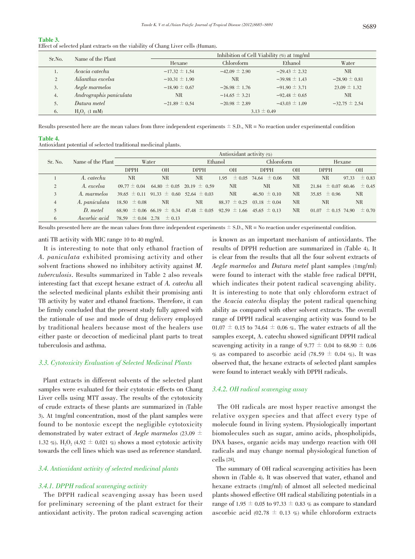| Table 3.                                                                         |  |  |
|----------------------------------------------------------------------------------|--|--|
| Effect of selected plant extracts on the viability of Chang Liver cells (Human). |  |  |

| Sr.No. | Name of the Plant       | Inhibition of Cell Viability (%) at 1mg/ml |                   |                   |                   |  |  |
|--------|-------------------------|--------------------------------------------|-------------------|-------------------|-------------------|--|--|
|        |                         | Hexane                                     | Chloroform        | Ethanol           | Water             |  |  |
|        | Acacia catechu          | $-17.32 \pm 1.54$                          | $-42.09 \pm 2.90$ | $-29.43 \pm 2.32$ | <b>NR</b>         |  |  |
| 2      | Ailanthus excelsa       | $-10.31 \pm 1.90$                          | NR.               | $-39.98 \pm 1.43$ | $-28.90 \pm 0.81$ |  |  |
| 3.     | Aegle marmelos          | $-18.90 \pm 0.67$                          | $-26.98 \pm 1.76$ | $-91.90 \pm 3.71$ | $23.09 \pm 1.32$  |  |  |
| 4.     | Andrographis paniculata | NR.                                        | $-14.65 \pm 3.21$ | $-92.48 \pm 0.65$ | NR.               |  |  |
| 5.     | Datura metel            | $-21.89 \pm 0.54$                          | $-20.98 \pm 2.89$ | $-43.03 \pm 1.09$ | $-32.75 \pm 2.54$ |  |  |
| 6.     | $H2O2$ (1 mM)           |                                            |                   | $3.13 \pm 0.49$   |                   |  |  |

Results presented here are the mean values from three independent experiments  $\pm$  S.D., NR = No reaction under experimental condition

Table 4.

| Antioxidant potential of selected traditional medicinal plants. |  |
|-----------------------------------------------------------------|--|
|-----------------------------------------------------------------|--|

|                |                            | Antioxidant activity $(\% )$     |                                                                                      |             |                                   |                                  |                |                        |                     |
|----------------|----------------------------|----------------------------------|--------------------------------------------------------------------------------------|-------------|-----------------------------------|----------------------------------|----------------|------------------------|---------------------|
| Sr. No.        | Name of the Plant<br>Water |                                  | Ethanol                                                                              |             | Chloroform                        |                                  | Hexane         |                        |                     |
|                |                            | <b>DPPH</b>                      | <b>OH</b>                                                                            | <b>DPPH</b> | <b>OH</b>                         | <b>DPPH</b>                      | <b>OH</b>      | <b>DPPH</b>            | <b>OH</b>           |
|                | A. catechu                 | <b>NR</b>                        | <b>NR</b>                                                                            | <b>NR</b>   |                                   | $1.95 \pm 0.05$ 74.64 $\pm 0.06$ | <b>NR</b>      | <b>NR</b>              | $\pm 0.83$<br>97.33 |
| $\overline{c}$ | A. excelsa                 |                                  | $09.77 \pm 0.04$ 64.80 $\pm$ 0.05 20.19 $\pm$ 0.59                                   |             | <b>NR</b>                         | NR.                              | NR             | $21.84 \pm 0.07$ 60.46 | $\pm 0.45$          |
| 3              | A. marmelos                |                                  | $39.65 \pm 0.11$ $91.33 \pm 0.60$ $52.64 \pm 0.03$                                   |             | <b>NR</b>                         | $46.50 \pm 0.10$                 | N <sub>R</sub> | 35.85 $\pm 0.96$       | <b>NR</b>           |
| $\overline{4}$ | A. paniculata              | $18.50 \pm 0.08$                 | NR.                                                                                  | NR.         | $88.37 \pm 0.25$ 03.18 $\pm$ 0.04 |                                  | NR.            | NR.                    | NR                  |
|                | D. metel                   |                                  | 68.90 $\pm$ 0.06 66.19 $\pm$ 0.34 47.48 $\pm$ 0.05 92.59 $\pm$ 1.66 45.65 $\pm$ 0.13 |             |                                   |                                  | N <sub>R</sub> | $01.07 \pm 0.15$ 74.90 | $\pm 0.70$          |
| 6              | <i>Ascorbic acid</i>       | 78.59 $\pm$ 0.04 2.78 $\pm$ 0.13 |                                                                                      |             |                                   |                                  |                |                        |                     |

Results presented here are the mean values from three independent experiments  $\pm$  S.D., NR = No reaction under experimental condition.

anti TB activity with MIC range 10 to 40 mg/ml.

It is interesting to note that only ethanol fraction of A. paniculata exhibited promising activity and other solvent fractions showed no inhibitory activity against M. tuberculosis. Results summarized in Table <sup>2</sup> also reveals interesting fact that except hexane extract of A. catechu all the selected medicinal plants exhibit their promising anti TB activity by water and ethanol fractions. Therefore, it can be firmly concluded that the present study fully agreed with the rationale of use and mode of drug delivery employed by traditional healers because most of the healers use either paste or decoction of medicinal plant parts to treat tuberculosis and asthma.

#### 3.3. Cytotoxicity Evaluation of Selected Medicinal Plants

Plant extracts in different solvents of the selected plant samples were evaluated for their cytotoxic effects on Chang Liver cells using MTT assay. The results of the cytotoxicity of crude extracts of these plants are summarized in (Table 3). At 1mg/ml concentration, most of the plant samples were found to be nontoxic except the negligible cytotoxicity demonstrated by water extract of *Aegle marmelos* (23.09  $\pm$ 1.32 %). H<sub>2</sub>O<sub>2</sub> (4.92  $\pm$  0.021 %) shows a most cytotoxic activity towards the cell lines which was used as reference standard.

#### 3.4. Antioxidant activity of selected medicinal plants

#### 3.4.1. DPPH radical scavenging activity

The DPPH radical scavenging assay has been used for preliminary screening of the plant extract for their antioxidant activity. The proton radical scavenging action is known as an important mechanism of antioxidants. The results of DPPH reduction are summarized in (Table 4). It is clear from the results that all the four solvent extracts of Aegle marmelos and Datura metel plant samples (1mg/ml) were found to interact with the stable free radical DPPH, which indicates their potent radical scavenging ability. It is interesting to note that only chloroform extract of the Acacia catechu display the potent radical quenching ability as compared with other solvent extracts. The overall range of DPPH radical scavenging activity was found to be 01.07  $\pm$  0.15 to 74.64  $\pm$  0.06 %. The water extracts of all the samples except, A. catechu showed significant DPPH radical scavenging activity in a range of 9.77  $\pm$  0.04 to 68.90  $\pm$  0.06 % as compared to ascorbic acid (78.59  $\pm$  0.04 %). It was observed that, the hexane extracts of selected plant samples were found to interact weakly with DPPH radicals.

#### 3.4.2. OH radical scavenging assay

The OH radicals are most hyper reactive amongst the relative oxygen species and that affect every type of molecule found in living system. Physiologically important biomolecules such as sugar, amino acids, phospholipids, DNA bases, organic acids may undergo reaction with OH radicals and may change normal physiological function of cells [28].

The summary of OH radical scavenging activities has been shown in (Table 4). It was observed that water, ethanol and hexane extracts (1mg/ml) of almost all selected medicinal plants showed effective OH radical stabilizing potentials in a range of 1.95  $\pm$  0.05 to 97.33  $\pm$  0.83 % as compare to standard ascorbic acid (02.78  $\pm$  0.13 %) while chloroform extracts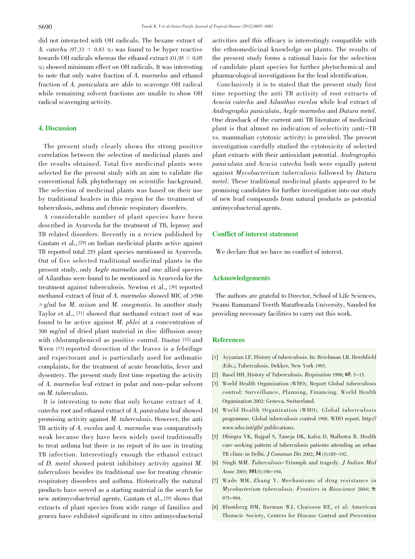did not interacted with OH radicals. The hexane extract of A. catechu (97.33  $\pm$  0.83 %) was found to be hyper reactive towards OH radicals whereas the ethanol extract (01.95  $\pm$  0.05 %) showed minimum effect on OH radicals. It was interesting to note that only water fraction of A. marmelos and ethanol fraction of A. paniculata are able to scavenge OH radical while remaining solvent fractions are unable to show OH radical scavenging activity.

#### 4. Discussion

The present study clearly shows the strong positive correlation between the selection of medicinal plants and the results obtained. Total five medicinal plants were selected for the present study with an aim to validate the conventional folk phytotherapy on scientific background. The selection of medicinal plants was based on their use by traditional healers in this region for the treatment of tuberculosis, asthma and chronic respiratory disorders.

A considerable number of plant species have been described in Ayurveda for the treatment of TB, leprosy and TB related disorders. Recently in a review published by Gautam et al., [29] on Indian medicinal plants active against TB reported total 255 plant species mentioned in Ayurveda. Out of five selected traditional medicinal plants in the present study, only Aegle marmelos and one allied species of Ailanthus were found to be mentioned in Ayurveda for the treatment against tuberculosis. Newton et al., [30] reported methanol extract of fruit of A. marmelos showed MIC of >500  $\mu$  g/ml for *M. avium* and *M. smegmatis*. In another study Taylor et al., [31] showed that methanol extract root of was found to be active against M. phlei at a concentration of 300 mg/ml of dried plant material in disc diffusion assay with chloramphenicol as positive control. Dastur [32] and Wren [33] reported decoction of the leaves is a febrifuge and expectorant and is particularly used for asthmatic complaints, for the treatment of acute bronchitis, fever and dysentery. The present study first time reporting the activity of A. marmelos leaf extract in polar and non-polar solvent on M. tuberculosis.

It is interesting to note that only hexane extract of A. catechu root and ethanol extract of A. paniculata leaf showed promising activity against M. tuberculosis. However, the anti TB activity of A. excelsa and A. marmelos was comparatively weak because they have been widely used traditionally to treat asthma but there is no report of its use in treating TB infection. Interestingly enough the ethanol extract of D. metel showed potent inhibitory activity against M. tuberculosis besides its traditional use for treating chronic respiratory disorders and asthma. Historically the natural products have served as a starting material in the search for new antimycobacterial agents. Gautam et al., [29] shows that extracts of plant species from wide range of families and genera have exhibited significant in vitro antimycobacterial

activities and this efficacy is interestingly compatible with the ethnomedicinal knowledge on plants. The results of the present study forms a rational basis for the selection of candidate plant species for further phytochemical and pharmacological investigations for the lead identification.

Conclusively it is to stated that the present study first time reporting the anti TB activity of root extracts of Acacia catechu and Ailanthus excelsa while leaf extract of Andrographis paniculata, Aegle marmelos and Datura metel. One drawback of the current anti TB literature of medicinal plant is that almost no indication of selectivity (anti-TB vs. mammalian cytotoxic activity) is provided. The present investigation carefully studied the cytotoxicity of selected plant extracts with their antioxidant potential. Andrographis paniculata and Acacia catechu both were equally potent against Mycobacterium tuberculosis followed by Datura metel. These traditional medicinal plants appeared to be promising candidates for further investigation into our study of new lead compounds from natural products as potential antimycobacterial agents.

#### Conflict of interest statement

We declare that we have no conflict of interest.

#### Acknowledgements

The authors are grateful to Director, School of Life Sciences, Swami Ramanand Teerth Marathwada University, Nanded for providing necessary facilities to carry out this work.

# References

- [1] Ayyazian LF. History of tuberculosis. In: Reichman LB. Hershfield (Eds.), Tuberculosis. Dekker, New York 1993.
- [2] Basel HH. History of Tuberculosis. Respiration 1998; 65: 5-15.
- [3] World Health Organization (WHO). Report Global tuberculosis control: Surveillance, Planning, Financing. World Health Organization 2002: Geneva, Switzerland.
- [4] World Health Organization (WHO). Global tuberculosis programme. Global tuberculosis control 1998. WHO report. http:// www.who.int/gtb/ publications.
- [5] Dhingra VK, Rajpal S, Taneja DK, Kalra D, Malhotra R. Health care seeking pattern of tuberculosis patients attending an urban TB clinic in Delhi. J Commun Dis 2002; 34 (3):185-192.
- [6] Singh MM. Tuberculosis-Triumph and tragedy. J Indian Med Assoc 2003; 101(3):190-194.
- [7] Wade MM, Zhang Y. Mechanisms of drug resistance in Mycobacterium tuberculosis. Frontiers in Bioscience 2004; 9: 975-994.
- [8] Blumberg HM, Burman WJ, Chaisson RE, et al: American Thoracic Society, Centers for Disease Control and Prevention